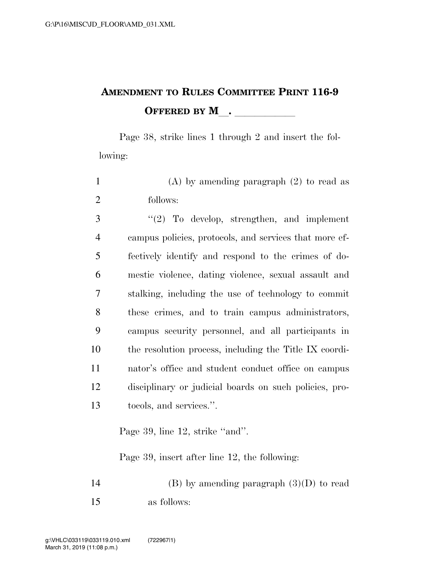## **AMENDMENT TO RULES COMMITTEE PRINT 116-9 OFFERED BY M**.

Page 38, strike lines 1 through 2 and insert the following:

1 (A) by amending paragraph (2) to read as 2 follows:

 ''(2) To develop, strengthen, and implement campus policies, protocols, and services that more ef- fectively identify and respond to the crimes of do- mestic violence, dating violence, sexual assault and stalking, including the use of technology to commit these crimes, and to train campus administrators, campus security personnel, and all participants in the resolution process, including the Title IX coordi- nator's office and student conduct office on campus disciplinary or judicial boards on such policies, pro-tocols, and services.''.

Page 39, line 12, strike "and".

Page 39, insert after line 12, the following:

14 (B) by amending paragraph  $(3)(D)$  to read 15 as follows: